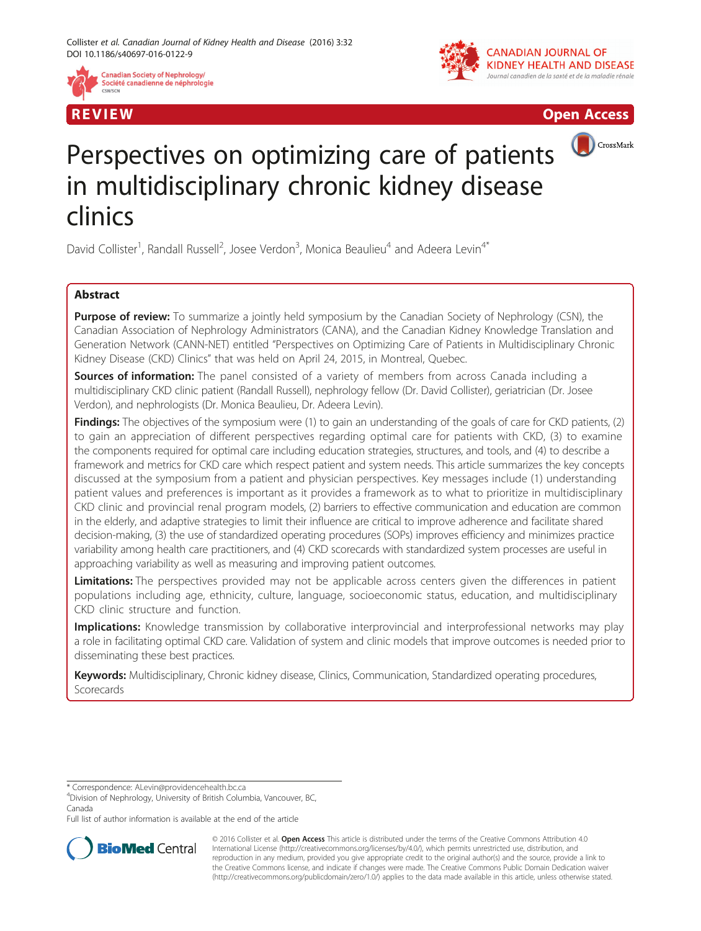

Société canadienne de néphrologie







# Perspectives on optimizing care of patients in multidisciplinary chronic kidney disease clinics

David Collister<sup>1</sup>, Randall Russell<sup>2</sup>, Josee Verdon<sup>3</sup>, Monica Beaulieu<sup>4</sup> and Adeera Levin<sup>4\*</sup>

# Abstract

**Purpose of review:** To summarize a jointly held symposium by the Canadian Society of Nephrology (CSN), the Canadian Association of Nephrology Administrators (CANA), and the Canadian Kidney Knowledge Translation and Generation Network (CANN-NET) entitled "Perspectives on Optimizing Care of Patients in Multidisciplinary Chronic Kidney Disease (CKD) Clinics" that was held on April 24, 2015, in Montreal, Quebec.

Sources of information: The panel consisted of a variety of members from across Canada including a multidisciplinary CKD clinic patient (Randall Russell), nephrology fellow (Dr. David Collister), geriatrician (Dr. Josee Verdon), and nephrologists (Dr. Monica Beaulieu, Dr. Adeera Levin).

Findings: The objectives of the symposium were (1) to gain an understanding of the goals of care for CKD patients, (2) to gain an appreciation of different perspectives regarding optimal care for patients with CKD, (3) to examine the components required for optimal care including education strategies, structures, and tools, and (4) to describe a framework and metrics for CKD care which respect patient and system needs. This article summarizes the key concepts discussed at the symposium from a patient and physician perspectives. Key messages include (1) understanding patient values and preferences is important as it provides a framework as to what to prioritize in multidisciplinary CKD clinic and provincial renal program models, (2) barriers to effective communication and education are common in the elderly, and adaptive strategies to limit their influence are critical to improve adherence and facilitate shared decision-making, (3) the use of standardized operating procedures (SOPs) improves efficiency and minimizes practice variability among health care practitioners, and (4) CKD scorecards with standardized system processes are useful in approaching variability as well as measuring and improving patient outcomes.

Limitations: The perspectives provided may not be applicable across centers given the differences in patient populations including age, ethnicity, culture, language, socioeconomic status, education, and multidisciplinary CKD clinic structure and function.

Implications: Knowledge transmission by collaborative interprovincial and interprofessional networks may play a role in facilitating optimal CKD care. Validation of system and clinic models that improve outcomes is needed prior to disseminating these best practices.

Keywords: Multidisciplinary, Chronic kidney disease, Clinics, Communication, Standardized operating procedures, **Scorecards** 

\* Correspondence: [ALevin@providencehealth.bc.ca](mailto:ALevin@providencehealth.bc.ca) <sup>4</sup>

Division of Nephrology, University of British Columbia, Vancouver, BC, Canada

Full list of author information is available at the end of the article



© 2016 Collister et al. Open Access This article is distributed under the terms of the Creative Commons Attribution 4.0 International License [\(http://creativecommons.org/licenses/by/4.0/](http://creativecommons.org/licenses/by/4.0/)), which permits unrestricted use, distribution, and reproduction in any medium, provided you give appropriate credit to the original author(s) and the source, provide a link to the Creative Commons license, and indicate if changes were made. The Creative Commons Public Domain Dedication waiver [\(http://creativecommons.org/publicdomain/zero/1.0/](http://creativecommons.org/publicdomain/zero/1.0/)) applies to the data made available in this article, unless otherwise stated.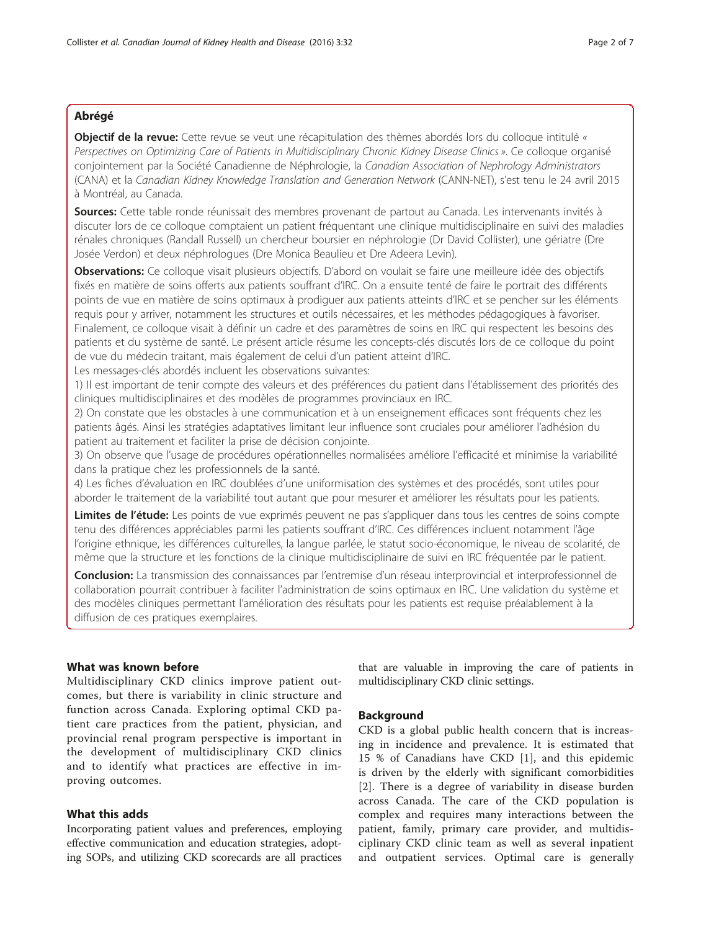# Abrégé

Objectif de la revue: Cette revue se veut une récapitulation des thèmes abordés lors du colloque intitulé « Perspectives on Optimizing Care of Patients in Multidisciplinary Chronic Kidney Disease Clinics ». Ce colloque organisé conjointement par la Société Canadienne de Néphrologie, la Canadian Association of Nephrology Administrators (CANA) et la Canadian Kidney Knowledge Translation and Generation Network (CANN-NET), s'est tenu le 24 avril 2015 à Montréal, au Canada.

Sources: Cette table ronde réunissait des membres provenant de partout au Canada. Les intervenants invités à discuter lors de ce colloque comptaient un patient fréquentant une clinique multidisciplinaire en suivi des maladies rénales chroniques (Randall Russell) un chercheur boursier en néphrologie (Dr David Collister), une gériatre (Dre Josée Verdon) et deux néphrologues (Dre Monica Beaulieu et Dre Adeera Levin).

Observations: Ce colloque visait plusieurs objectifs. D'abord on voulait se faire une meilleure idée des objectifs fixés en matière de soins offerts aux patients souffrant d'IRC. On a ensuite tenté de faire le portrait des différents points de vue en matière de soins optimaux à prodiguer aux patients atteints d'IRC et se pencher sur les éléments requis pour y arriver, notamment les structures et outils nécessaires, et les méthodes pédagogiques à favoriser. Finalement, ce colloque visait à définir un cadre et des paramètres de soins en IRC qui respectent les besoins des patients et du système de santé. Le présent article résume les concepts-clés discutés lors de ce colloque du point de vue du médecin traitant, mais également de celui d'un patient atteint d'IRC.

Les messages-clés abordés incluent les observations suivantes:

1) Il est important de tenir compte des valeurs et des préférences du patient dans l'établissement des priorités des cliniques multidisciplinaires et des modèles de programmes provinciaux en IRC.

2) On constate que les obstacles à une communication et à un enseignement efficaces sont fréquents chez les patients âgés. Ainsi les stratégies adaptatives limitant leur influence sont cruciales pour améliorer l'adhésion du patient au traitement et faciliter la prise de décision conjointe.

3) On observe que l'usage de procédures opérationnelles normalisées améliore l'efficacité et minimise la variabilité dans la pratique chez les professionnels de la santé.

4) Les fiches d'évaluation en IRC doublées d'une uniformisation des systèmes et des procédés, sont utiles pour aborder le traitement de la variabilité tout autant que pour mesurer et améliorer les résultats pour les patients.

Limites de l'étude: Les points de vue exprimés peuvent ne pas s'appliquer dans tous les centres de soins compte tenu des différences appréciables parmi les patients souffrant d'IRC. Ces différences incluent notamment l'âge l'origine ethnique, les différences culturelles, la langue parlée, le statut socio-économique, le niveau de scolarité, de même que la structure et les fonctions de la clinique multidisciplinaire de suivi en IRC fréquentée par le patient.

Conclusion: La transmission des connaissances par l'entremise d'un réseau interprovincial et interprofessionnel de collaboration pourrait contribuer à faciliter l'administration de soins optimaux en IRC. Une validation du système et des modèles cliniques permettant l'amélioration des résultats pour les patients est requise préalablement à la diffusion de ces pratiques exemplaires.

# What was known before

Multidisciplinary CKD clinics improve patient outcomes, but there is variability in clinic structure and function across Canada. Exploring optimal CKD patient care practices from the patient, physician, and provincial renal program perspective is important in the development of multidisciplinary CKD clinics and to identify what practices are effective in improving outcomes.

## What this adds

Incorporating patient values and preferences, employing effective communication and education strategies, adopting SOPs, and utilizing CKD scorecards are all practices

that are valuable in improving the care of patients in multidisciplinary CKD clinic settings.

## Background

CKD is a global public health concern that is increasing in incidence and prevalence. It is estimated that 15 % of Canadians have CKD [\[1](#page-5-0)], and this epidemic is driven by the elderly with significant comorbidities [[2\]](#page-5-0). There is a degree of variability in disease burden across Canada. The care of the CKD population is complex and requires many interactions between the patient, family, primary care provider, and multidisciplinary CKD clinic team as well as several inpatient and outpatient services. Optimal care is generally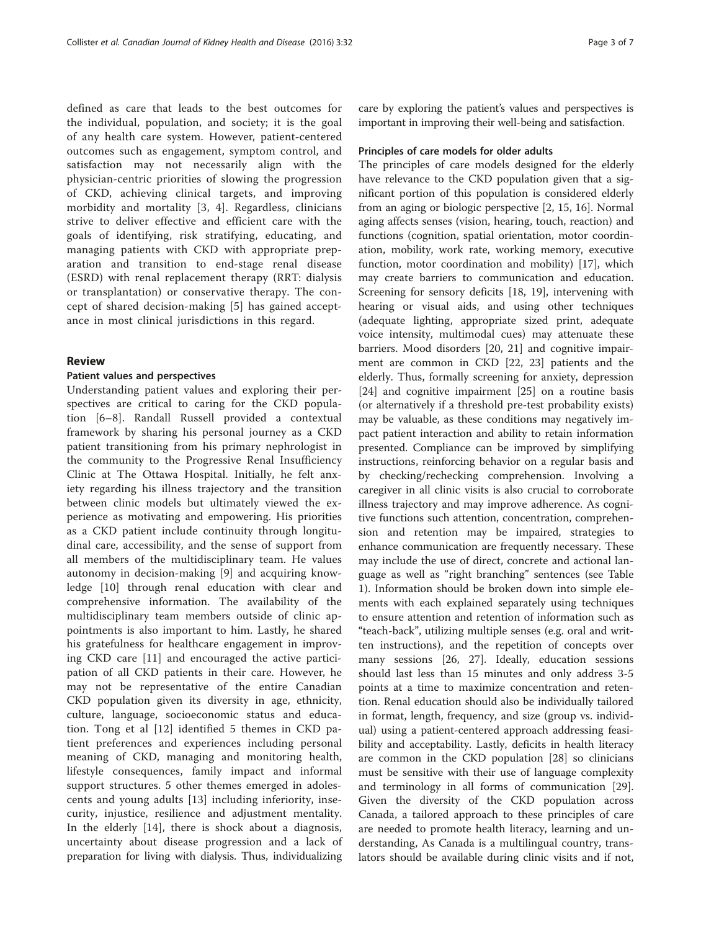defined as care that leads to the best outcomes for the individual, population, and society; it is the goal of any health care system. However, patient-centered outcomes such as engagement, symptom control, and satisfaction may not necessarily align with the physician-centric priorities of slowing the progression of CKD, achieving clinical targets, and improving morbidity and mortality [[3, 4](#page-5-0)]. Regardless, clinicians strive to deliver effective and efficient care with the goals of identifying, risk stratifying, educating, and managing patients with CKD with appropriate preparation and transition to end-stage renal disease (ESRD) with renal replacement therapy (RRT: dialysis or transplantation) or conservative therapy. The concept of shared decision-making [[5\]](#page-5-0) has gained acceptance in most clinical jurisdictions in this regard.

## Review

## Patient values and perspectives

Understanding patient values and exploring their perspectives are critical to caring for the CKD population [\[6](#page-5-0)–[8\]](#page-5-0). Randall Russell provided a contextual framework by sharing his personal journey as a CKD patient transitioning from his primary nephrologist in the community to the Progressive Renal Insufficiency Clinic at The Ottawa Hospital. Initially, he felt anxiety regarding his illness trajectory and the transition between clinic models but ultimately viewed the experience as motivating and empowering. His priorities as a CKD patient include continuity through longitudinal care, accessibility, and the sense of support from all members of the multidisciplinary team. He values autonomy in decision-making [[9](#page-5-0)] and acquiring knowledge [\[10](#page-5-0)] through renal education with clear and comprehensive information. The availability of the multidisciplinary team members outside of clinic appointments is also important to him. Lastly, he shared his gratefulness for healthcare engagement in improving CKD care [\[11](#page-5-0)] and encouraged the active participation of all CKD patients in their care. However, he may not be representative of the entire Canadian CKD population given its diversity in age, ethnicity, culture, language, socioeconomic status and education. Tong et al [[12\]](#page-5-0) identified 5 themes in CKD patient preferences and experiences including personal meaning of CKD, managing and monitoring health, lifestyle consequences, family impact and informal support structures. 5 other themes emerged in adolescents and young adults [[13](#page-5-0)] including inferiority, insecurity, injustice, resilience and adjustment mentality. In the elderly [[14\]](#page-5-0), there is shock about a diagnosis, uncertainty about disease progression and a lack of preparation for living with dialysis. Thus, individualizing care by exploring the patient's values and perspectives is important in improving their well-being and satisfaction.

## Principles of care models for older adults

The principles of care models designed for the elderly have relevance to the CKD population given that a significant portion of this population is considered elderly from an aging or biologic perspective [\[2, 15, 16\]](#page-5-0). Normal aging affects senses (vision, hearing, touch, reaction) and functions (cognition, spatial orientation, motor coordination, mobility, work rate, working memory, executive function, motor coordination and mobility) [[17\]](#page-5-0), which may create barriers to communication and education. Screening for sensory deficits [\[18, 19\]](#page-5-0), intervening with hearing or visual aids, and using other techniques (adequate lighting, appropriate sized print, adequate voice intensity, multimodal cues) may attenuate these barriers. Mood disorders [[20](#page-5-0), [21](#page-5-0)] and cognitive impairment are common in CKD [[22](#page-5-0), [23\]](#page-5-0) patients and the elderly. Thus, formally screening for anxiety, depression [[24\]](#page-5-0) and cognitive impairment [\[25](#page-5-0)] on a routine basis (or alternatively if a threshold pre-test probability exists) may be valuable, as these conditions may negatively impact patient interaction and ability to retain information presented. Compliance can be improved by simplifying instructions, reinforcing behavior on a regular basis and by checking/rechecking comprehension. Involving a caregiver in all clinic visits is also crucial to corroborate illness trajectory and may improve adherence. As cognitive functions such attention, concentration, comprehension and retention may be impaired, strategies to enhance communication are frequently necessary. These may include the use of direct, concrete and actional language as well as "right branching" sentences (see Table [1\)](#page-3-0). Information should be broken down into simple elements with each explained separately using techniques to ensure attention and retention of information such as "teach-back", utilizing multiple senses (e.g. oral and written instructions), and the repetition of concepts over many sessions [[26](#page-5-0), [27](#page-6-0)]. Ideally, education sessions should last less than 15 minutes and only address 3-5 points at a time to maximize concentration and retention. Renal education should also be individually tailored in format, length, frequency, and size (group vs. individual) using a patient-centered approach addressing feasibility and acceptability. Lastly, deficits in health literacy are common in the CKD population [[28](#page-6-0)] so clinicians must be sensitive with their use of language complexity and terminology in all forms of communication [\[29](#page-6-0)]. Given the diversity of the CKD population across Canada, a tailored approach to these principles of care are needed to promote health literacy, learning and understanding, As Canada is a multilingual country, translators should be available during clinic visits and if not,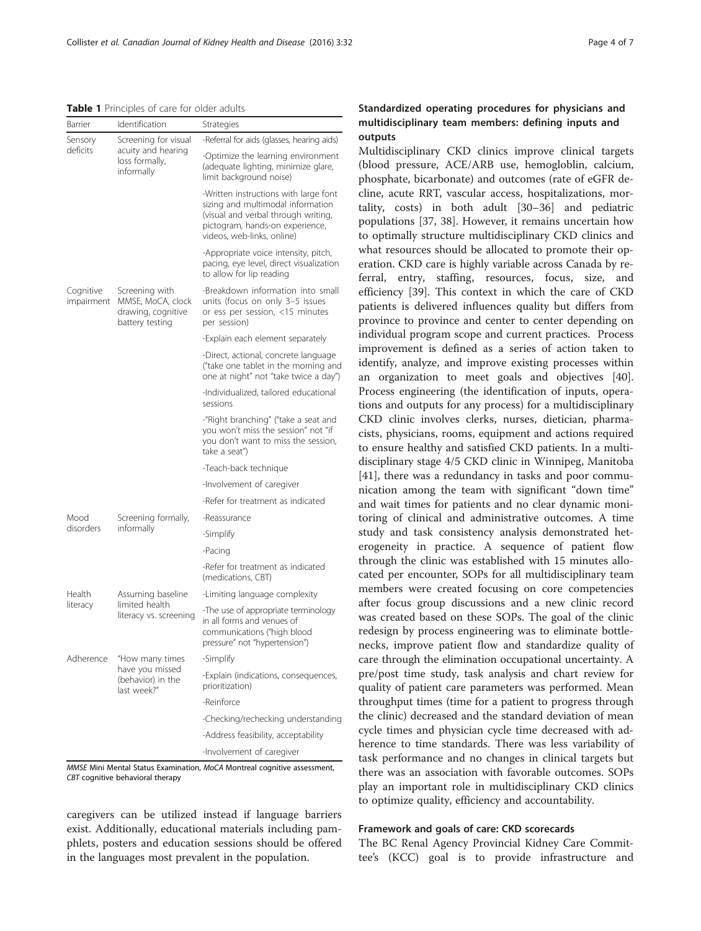<span id="page-3-0"></span>Table 1 Principles of care for older adults

| Barrier                 | Identification                                                               | Strategies                                                                                                                                                                         |
|-------------------------|------------------------------------------------------------------------------|------------------------------------------------------------------------------------------------------------------------------------------------------------------------------------|
| Sensory<br>deficits     | Screening for visual<br>acuity and hearing<br>loss formally,<br>informally   | -Referral for aids (glasses, hearing aids)                                                                                                                                         |
|                         |                                                                              | -Optimize the learning environment<br>(adequate lighting, minimize glare,<br>limit background noise)                                                                               |
|                         |                                                                              | -Written instructions with large font<br>sizing and multimodal information<br>(visual and verbal through writing,<br>pictogram, hands-on experience,<br>videos, web-links, online) |
|                         |                                                                              | -Appropriate voice intensity, pitch,<br>pacing, eye level, direct visualization<br>to allow for lip reading                                                                        |
| Cognitive<br>impairment | Screening with<br>MMSE, MoCA, clock<br>drawing, cognitive<br>battery testing | -Breakdown information into small<br>units (focus on only 3-5 issues<br>or ess per session, <15 minutes<br>per session)                                                            |
|                         |                                                                              | -Explain each element separately                                                                                                                                                   |
|                         |                                                                              | -Direct, actional, concrete language<br>("take one tablet in the morning and<br>one at night" not "take twice a day")                                                              |
|                         |                                                                              | -Individualized, tailored educational<br>sessions                                                                                                                                  |
|                         |                                                                              | -"Right branching" ("take a seat and<br>you won't miss the session" not "if<br>you don't want to miss the session,<br>take a seat")                                                |
|                         |                                                                              | -Teach-back technique                                                                                                                                                              |
|                         |                                                                              | -Involvement of caregiver                                                                                                                                                          |
|                         |                                                                              | -Refer for treatment as indicated                                                                                                                                                  |
| Mood<br>disorders       | Screening formally,<br>informally                                            | -Reassurance                                                                                                                                                                       |
|                         |                                                                              | -Simplify                                                                                                                                                                          |
|                         |                                                                              | -Pacing                                                                                                                                                                            |
|                         |                                                                              | -Refer for treatment as indicated<br>(medications, CBT)                                                                                                                            |
| Health<br>literacy      | Assuming baseline<br>limited health<br>literacy vs. screening                | -Limiting language complexity                                                                                                                                                      |
|                         |                                                                              | -The use of appropriate terminology<br>in all forms and venues of<br>communications ("high blood<br>pressure" not "hypertension")                                                  |
| Adherence               | "How many times<br>have you missed<br>(behavior) in the<br>last week?"       | -Simplify                                                                                                                                                                          |
|                         |                                                                              | -Explain (indications, consequences,<br>prioritization)                                                                                                                            |
|                         |                                                                              | -Reinforce                                                                                                                                                                         |
|                         |                                                                              | -Checking/rechecking understanding                                                                                                                                                 |
|                         |                                                                              | -Address feasibility, acceptability                                                                                                                                                |
|                         |                                                                              | -Involvement of caregiver                                                                                                                                                          |

MMSE Mini Mental Status Examination, MoCA Montreal cognitive assessment, CBT cognitive behavioral therapy

caregivers can be utilized instead if language barriers exist. Additionally, educational materials including pamphlets, posters and education sessions should be offered in the languages most prevalent in the population.

# Standardized operating procedures for physicians and multidisciplinary team members: defining inputs and outputs

Multidisciplinary CKD clinics improve clinical targets (blood pressure, ACE/ARB use, hemogloblin, calcium, phosphate, bicarbonate) and outcomes (rate of eGFR decline, acute RRT, vascular access, hospitalizations, mortality, costs) in both adult [[30](#page-6-0)–[36](#page-6-0)] and pediatric populations [\[37, 38](#page-6-0)]. However, it remains uncertain how to optimally structure multidisciplinary CKD clinics and what resources should be allocated to promote their operation. CKD care is highly variable across Canada by referral, entry, staffing, resources, focus, size, and efficiency [\[39](#page-6-0)]. This context in which the care of CKD patients is delivered influences quality but differs from province to province and center to center depending on individual program scope and current practices. Process improvement is defined as a series of action taken to identify, analyze, and improve existing processes within an organization to meet goals and objectives [\[40](#page-6-0)]. Process engineering (the identification of inputs, operations and outputs for any process) for a multidisciplinary CKD clinic involves clerks, nurses, dietician, pharmacists, physicians, rooms, equipment and actions required to ensure healthy and satisfied CKD patients. In a multidisciplinary stage 4/5 CKD clinic in Winnipeg, Manitoba [[41\]](#page-6-0), there was a redundancy in tasks and poor communication among the team with significant "down time" and wait times for patients and no clear dynamic monitoring of clinical and administrative outcomes. A time study and task consistency analysis demonstrated heterogeneity in practice. A sequence of patient flow through the clinic was established with 15 minutes allocated per encounter, SOPs for all multidisciplinary team members were created focusing on core competencies after focus group discussions and a new clinic record was created based on these SOPs. The goal of the clinic redesign by process engineering was to eliminate bottlenecks, improve patient flow and standardize quality of care through the elimination occupational uncertainty. A pre/post time study, task analysis and chart review for quality of patient care parameters was performed. Mean throughput times (time for a patient to progress through the clinic) decreased and the standard deviation of mean cycle times and physician cycle time decreased with adherence to time standards. There was less variability of task performance and no changes in clinical targets but there was an association with favorable outcomes. SOPs play an important role in multidisciplinary CKD clinics to optimize quality, efficiency and accountability.

# Framework and goals of care: CKD scorecards

The BC Renal Agency Provincial Kidney Care Committee's (KCC) goal is to provide infrastructure and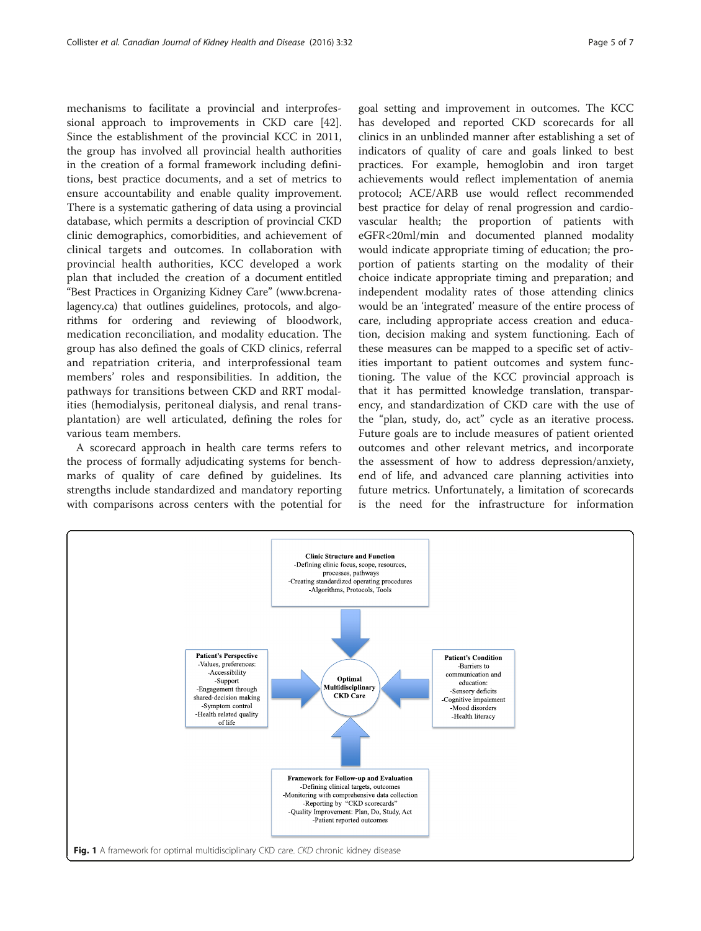<span id="page-4-0"></span>mechanisms to facilitate a provincial and interprofessional approach to improvements in CKD care [\[42](#page-6-0)]. Since the establishment of the provincial KCC in 2011, the group has involved all provincial health authorities in the creation of a formal framework including definitions, best practice documents, and a set of metrics to ensure accountability and enable quality improvement. There is a systematic gathering of data using a provincial database, which permits a description of provincial CKD clinic demographics, comorbidities, and achievement of clinical targets and outcomes. In collaboration with provincial health authorities, KCC developed a work plan that included the creation of a document entitled "Best Practices in Organizing Kidney Care" ([www.bcrena](http://www.bcrenalagency.ca/)[lagency.ca](http://www.bcrenalagency.ca/)) that outlines guidelines, protocols, and algorithms for ordering and reviewing of bloodwork, medication reconciliation, and modality education. The group has also defined the goals of CKD clinics, referral and repatriation criteria, and interprofessional team members' roles and responsibilities. In addition, the pathways for transitions between CKD and RRT modalities (hemodialysis, peritoneal dialysis, and renal transplantation) are well articulated, defining the roles for various team members.

A scorecard approach in health care terms refers to the process of formally adjudicating systems for benchmarks of quality of care defined by guidelines. Its strengths include standardized and mandatory reporting with comparisons across centers with the potential for

goal setting and improvement in outcomes. The KCC has developed and reported CKD scorecards for all clinics in an unblinded manner after establishing a set of indicators of quality of care and goals linked to best practices. For example, hemoglobin and iron target achievements would reflect implementation of anemia protocol; ACE/ARB use would reflect recommended best practice for delay of renal progression and cardiovascular health; the proportion of patients with eGFR<20ml/min and documented planned modality would indicate appropriate timing of education; the proportion of patients starting on the modality of their choice indicate appropriate timing and preparation; and independent modality rates of those attending clinics would be an 'integrated' measure of the entire process of care, including appropriate access creation and education, decision making and system functioning. Each of these measures can be mapped to a specific set of activities important to patient outcomes and system functioning. The value of the KCC provincial approach is that it has permitted knowledge translation, transparency, and standardization of CKD care with the use of the "plan, study, do, act" cycle as an iterative process. Future goals are to include measures of patient oriented outcomes and other relevant metrics, and incorporate the assessment of how to address depression/anxiety, end of life, and advanced care planning activities into future metrics. Unfortunately, a limitation of scorecards is the need for the infrastructure for information

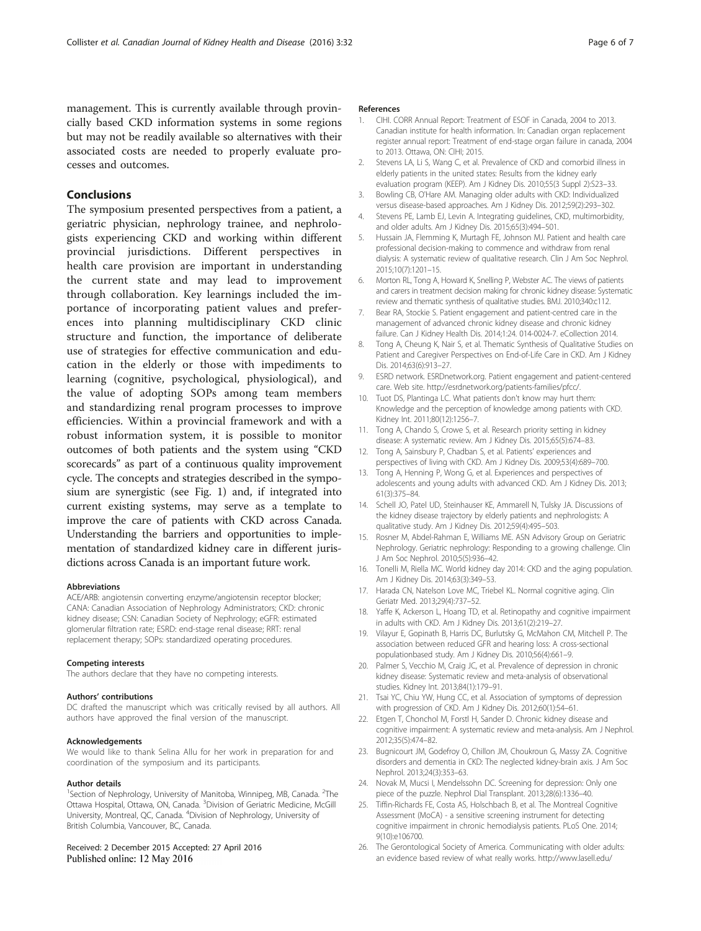<span id="page-5-0"></span>management. This is currently available through provincially based CKD information systems in some regions but may not be readily available so alternatives with their associated costs are needed to properly evaluate processes and outcomes.

## Conclusions

The symposium presented perspectives from a patient, a geriatric physician, nephrology trainee, and nephrologists experiencing CKD and working within different provincial jurisdictions. Different perspectives in health care provision are important in understanding the current state and may lead to improvement through collaboration. Key learnings included the importance of incorporating patient values and preferences into planning multidisciplinary CKD clinic structure and function, the importance of deliberate use of strategies for effective communication and education in the elderly or those with impediments to learning (cognitive, psychological, physiological), and the value of adopting SOPs among team members and standardizing renal program processes to improve efficiencies. Within a provincial framework and with a robust information system, it is possible to monitor outcomes of both patients and the system using "CKD scorecards" as part of a continuous quality improvement cycle. The concepts and strategies described in the symposium are synergistic (see Fig. [1](#page-4-0)) and, if integrated into current existing systems, may serve as a template to improve the care of patients with CKD across Canada. Understanding the barriers and opportunities to implementation of standardized kidney care in different jurisdictions across Canada is an important future work.

#### Abbreviations

ACE/ARB: angiotensin converting enzyme/angiotensin receptor blocker; CANA: Canadian Association of Nephrology Administrators; CKD: chronic kidney disease; CSN: Canadian Society of Nephrology; eGFR: estimated glomerular filtration rate; ESRD: end-stage renal disease; RRT: renal replacement therapy; SOPs: standardized operating procedures.

#### Competing interests

The authors declare that they have no competing interests.

#### Authors' contributions

DC drafted the manuscript which was critically revised by all authors. All authors have approved the final version of the manuscript.

#### Acknowledgements

We would like to thank Selina Allu for her work in preparation for and coordination of the symposium and its participants.

#### Author details

<sup>1</sup>Section of Nephrology, University of Manitoba, Winnipeg, MB, Canada. <sup>2</sup>The Ottawa Hospital, Ottawa, ON, Canada. <sup>3</sup> Division of Geriatric Medicine, McGill University, Montreal, QC, Canada. <sup>4</sup>Division of Nephrology, University of British Columbia, Vancouver, BC, Canada.

## Received: 2 December 2015 Accepted: 27 April 2016 Published online: 12 May 2016

#### References

- 1. CIHI. CORR Annual Report: Treatment of ESOF in Canada, 2004 to 2013. Canadian institute for health information. In: Canadian organ replacement register annual report: Treatment of end-stage organ failure in canada, 2004 to 2013. Ottawa, ON: CIHI; 2015.
- 2. Stevens LA, Li S, Wang C, et al. Prevalence of CKD and comorbid illness in elderly patients in the united states: Results from the kidney early evaluation program (KEEP). Am J Kidney Dis. 2010;55(3 Suppl 2):S23–33.
- 3. Bowling CB, O'Hare AM. Managing older adults with CKD: Individualized versus disease-based approaches. Am J Kidney Dis. 2012;59(2):293–302.
- 4. Stevens PE, Lamb EJ, Levin A. Integrating guidelines, CKD, multimorbidity, and older adults. Am J Kidney Dis. 2015;65(3):494–501.
- 5. Hussain JA, Flemming K, Murtagh FE, Johnson MJ. Patient and health care professional decision-making to commence and withdraw from renal dialysis: A systematic review of qualitative research. Clin J Am Soc Nephrol. 2015;10(7):1201–15.
- 6. Morton RL, Tong A, Howard K, Snelling P, Webster AC. The views of patients and carers in treatment decision making for chronic kidney disease: Systematic review and thematic synthesis of qualitative studies. BMJ. 2010;340:c112.
- 7. Bear RA, Stockie S. Patient engagement and patient-centred care in the management of advanced chronic kidney disease and chronic kidney failure. Can J Kidney Health Dis. 2014;1:24. 014-0024-7. eCollection 2014.
- 8. Tong A, Cheung K, Nair S, et al. Thematic Synthesis of Qualitative Studies on Patient and Caregiver Perspectives on End-of-Life Care in CKD. Am J Kidney Dis. 2014;63(6):913–27.
- 9. ESRD network. ESRDnetwork.org. Patient engagement and patient-centered care. Web site. http://esrdnetwork.org/patients-families/pfcc/.
- 10. Tuot DS, Plantinga LC. What patients don't know may hurt them: Knowledge and the perception of knowledge among patients with CKD. Kidney Int. 2011;80(12):1256–7.
- 11. Tong A, Chando S, Crowe S, et al. Research priority setting in kidney disease: A systematic review. Am J Kidney Dis. 2015;65(5):674–83.
- 12. Tong A, Sainsbury P, Chadban S, et al. Patients' experiences and perspectives of living with CKD. Am J Kidney Dis. 2009;53(4):689–700.
- 13. Tong A, Henning P, Wong G, et al. Experiences and perspectives of adolescents and young adults with advanced CKD. Am J Kidney Dis. 2013; 61(3):375–84.
- 14. Schell JO, Patel UD, Steinhauser KE, Ammarell N, Tulsky JA. Discussions of the kidney disease trajectory by elderly patients and nephrologists: A qualitative study. Am J Kidney Dis. 2012;59(4):495–503.
- 15. Rosner M, Abdel-Rahman E, Williams ME. ASN Advisory Group on Geriatric Nephrology. Geriatric nephrology: Responding to a growing challenge. Clin J Am Soc Nephrol. 2010;5(5):936–42.
- 16. Tonelli M, Riella MC. World kidney day 2014: CKD and the aging population. Am J Kidney Dis. 2014;63(3):349–53.
- 17. Harada CN, Natelson Love MC, Triebel KL. Normal cognitive aging. Clin Geriatr Med. 2013;29(4):737–52.
- 18. Yaffe K, Ackerson L, Hoang TD, et al. Retinopathy and cognitive impairment in adults with CKD. Am J Kidney Dis. 2013;61(2):219–27.
- 19. Vilayur E, Gopinath B, Harris DC, Burlutsky G, McMahon CM, Mitchell P. The association between reduced GFR and hearing loss: A cross-sectional populationbased study. Am J Kidney Dis. 2010;56(4):661–9.
- 20. Palmer S, Vecchio M, Craig JC, et al. Prevalence of depression in chronic kidney disease: Systematic review and meta-analysis of observational studies. Kidney Int. 2013;84(1):179–91.
- 21. Tsai YC, Chiu YW, Hung CC, et al. Association of symptoms of depression with progression of CKD. Am J Kidney Dis. 2012;60(1):54–61.
- 22. Etgen T, Chonchol M, Forstl H, Sander D. Chronic kidney disease and cognitive impairment: A systematic review and meta-analysis. Am J Nephrol. 2012;35(5):474–82.
- 23. Bugnicourt JM, Godefroy O, Chillon JM, Choukroun G, Massy ZA. Cognitive disorders and dementia in CKD: The neglected kidney-brain axis. J Am Soc Nephrol. 2013;24(3):353–63.
- 24. Novak M, Mucsi I, Mendelssohn DC. Screening for depression: Only one piece of the puzzle. Nephrol Dial Transplant. 2013;28(6):1336–40.
- 25. Tiffin-Richards FE, Costa AS, Holschbach B, et al. The Montreal Cognitive Assessment (MoCA) - a sensitive screening instrument for detecting cognitive impairment in chronic hemodialysis patients. PLoS One. 2014; 9(10):e106700.
- 26. The Gerontological Society of America. Communicating with older adults: an evidence based review of what really works. http://www.lasell.edu/